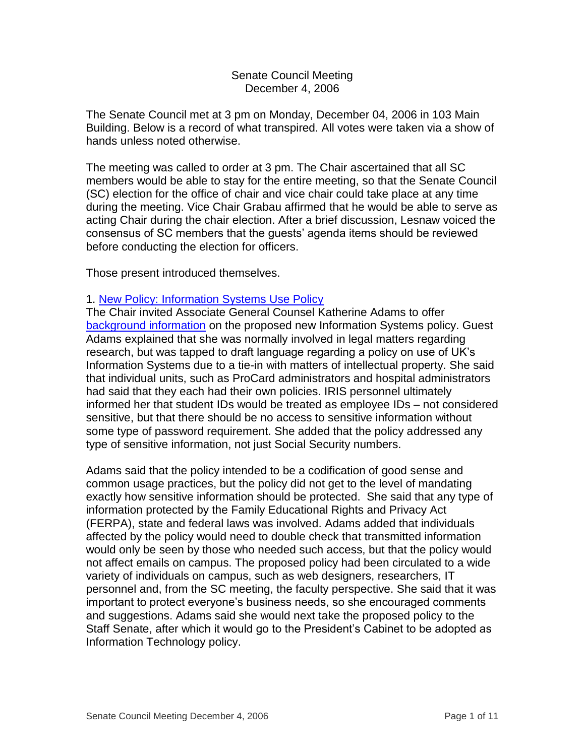#### Senate Council Meeting December 4, 2006

The Senate Council met at 3 pm on Monday, December 04, 2006 in 103 Main Building. Below is a record of what transpired. All votes were taken via a show of hands unless noted otherwise.

The meeting was called to order at 3 pm. The Chair ascertained that all SC members would be able to stay for the entire meeting, so that the Senate Council (SC) election for the office of chair and vice chair could take place at any time during the meeting. Vice Chair Grabau affirmed that he would be able to serve as acting Chair during the chair election. After a brief discussion, Lesnaw voiced the consensus of SC members that the guests' agenda items should be reviewed before conducting the election for officers.

Those present introduced themselves.

# 1. [New Policy: Information Systems Use Policy](http://www.uky.edu/USC/New/files/20061204/FINAL%20Information%20Systems.pdf)

The Chair invited Associate General Counsel Katherine Adams to offer [background information](http://www.uky.edu/USC/New/files/20061204/Info%20Systems%20Policy%20Background%20Info.pdf) on the proposed new Information Systems policy. Guest Adams explained that she was normally involved in legal matters regarding research, but was tapped to draft language regarding a policy on use of UK's Information Systems due to a tie-in with matters of intellectual property. She said that individual units, such as ProCard administrators and hospital administrators had said that they each had their own policies. IRIS personnel ultimately informed her that student IDs would be treated as employee IDs – not considered sensitive, but that there should be no access to sensitive information without some type of password requirement. She added that the policy addressed any type of sensitive information, not just Social Security numbers.

Adams said that the policy intended to be a codification of good sense and common usage practices, but the policy did not get to the level of mandating exactly how sensitive information should be protected. She said that any type of information protected by the Family Educational Rights and Privacy Act (FERPA), state and federal laws was involved. Adams added that individuals affected by the policy would need to double check that transmitted information would only be seen by those who needed such access, but that the policy would not affect emails on campus. The proposed policy had been circulated to a wide variety of individuals on campus, such as web designers, researchers, IT personnel and, from the SC meeting, the faculty perspective. She said that it was important to protect everyone's business needs, so she encouraged comments and suggestions. Adams said she would next take the proposed policy to the Staff Senate, after which it would go to the President's Cabinet to be adopted as Information Technology policy.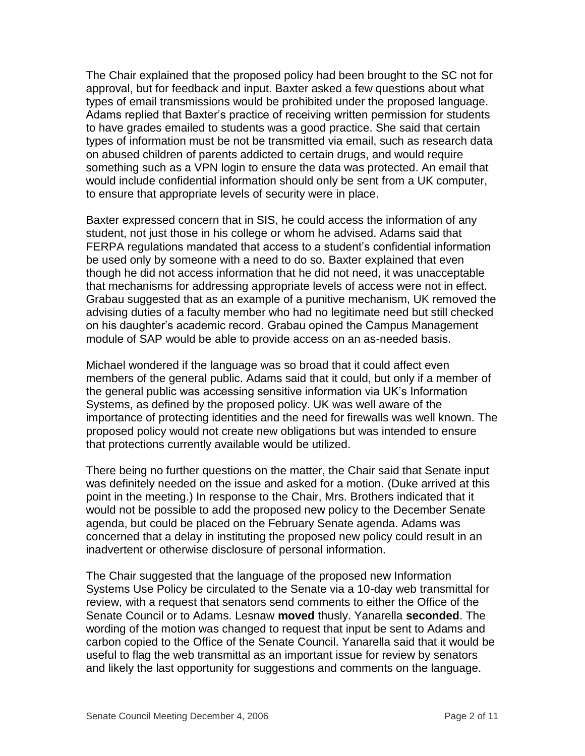The Chair explained that the proposed policy had been brought to the SC not for approval, but for feedback and input. Baxter asked a few questions about what types of email transmissions would be prohibited under the proposed language. Adams replied that Baxter's practice of receiving written permission for students to have grades emailed to students was a good practice. She said that certain types of information must be not be transmitted via email, such as research data on abused children of parents addicted to certain drugs, and would require something such as a VPN login to ensure the data was protected. An email that would include confidential information should only be sent from a UK computer, to ensure that appropriate levels of security were in place.

Baxter expressed concern that in SIS, he could access the information of any student, not just those in his college or whom he advised. Adams said that FERPA regulations mandated that access to a student's confidential information be used only by someone with a need to do so. Baxter explained that even though he did not access information that he did not need, it was unacceptable that mechanisms for addressing appropriate levels of access were not in effect. Grabau suggested that as an example of a punitive mechanism, UK removed the advising duties of a faculty member who had no legitimate need but still checked on his daughter's academic record. Grabau opined the Campus Management module of SAP would be able to provide access on an as-needed basis.

Michael wondered if the language was so broad that it could affect even members of the general public. Adams said that it could, but only if a member of the general public was accessing sensitive information via UK's Information Systems, as defined by the proposed policy. UK was well aware of the importance of protecting identities and the need for firewalls was well known. The proposed policy would not create new obligations but was intended to ensure that protections currently available would be utilized.

There being no further questions on the matter, the Chair said that Senate input was definitely needed on the issue and asked for a motion. (Duke arrived at this point in the meeting.) In response to the Chair, Mrs. Brothers indicated that it would not be possible to add the proposed new policy to the December Senate agenda, but could be placed on the February Senate agenda. Adams was concerned that a delay in instituting the proposed new policy could result in an inadvertent or otherwise disclosure of personal information.

The Chair suggested that the language of the proposed new Information Systems Use Policy be circulated to the Senate via a 10-day web transmittal for review, with a request that senators send comments to either the Office of the Senate Council or to Adams. Lesnaw **moved** thusly. Yanarella **seconded**. The wording of the motion was changed to request that input be sent to Adams and carbon copied to the Office of the Senate Council. Yanarella said that it would be useful to flag the web transmittal as an important issue for review by senators and likely the last opportunity for suggestions and comments on the language.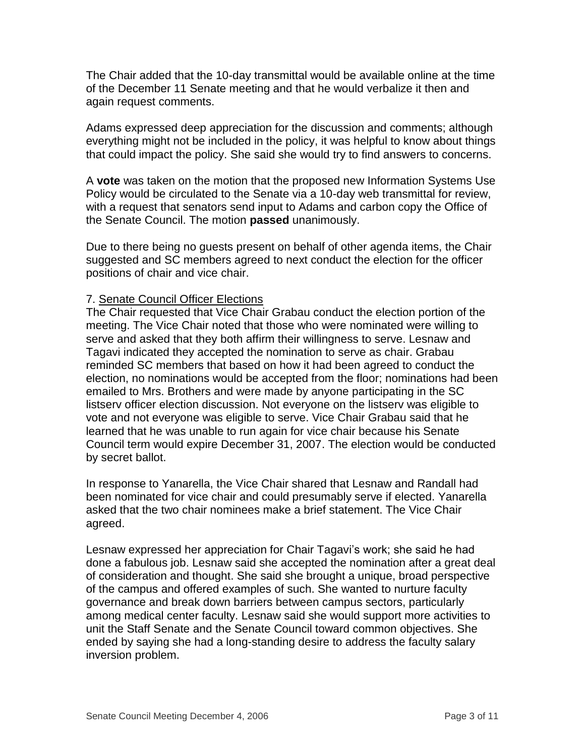The Chair added that the 10-day transmittal would be available online at the time of the December 11 Senate meeting and that he would verbalize it then and again request comments.

Adams expressed deep appreciation for the discussion and comments; although everything might not be included in the policy, it was helpful to know about things that could impact the policy. She said she would try to find answers to concerns.

A **vote** was taken on the motion that the proposed new Information Systems Use Policy would be circulated to the Senate via a 10-day web transmittal for review, with a request that senators send input to Adams and carbon copy the Office of the Senate Council. The motion **passed** unanimously.

Due to there being no guests present on behalf of other agenda items, the Chair suggested and SC members agreed to next conduct the election for the officer positions of chair and vice chair.

## 7. Senate Council Officer Elections

The Chair requested that Vice Chair Grabau conduct the election portion of the meeting. The Vice Chair noted that those who were nominated were willing to serve and asked that they both affirm their willingness to serve. Lesnaw and Tagavi indicated they accepted the nomination to serve as chair. Grabau reminded SC members that based on how it had been agreed to conduct the election, no nominations would be accepted from the floor; nominations had been emailed to Mrs. Brothers and were made by anyone participating in the SC listserv officer election discussion. Not everyone on the listserv was eligible to vote and not everyone was eligible to serve. Vice Chair Grabau said that he learned that he was unable to run again for vice chair because his Senate Council term would expire December 31, 2007. The election would be conducted by secret ballot.

In response to Yanarella, the Vice Chair shared that Lesnaw and Randall had been nominated for vice chair and could presumably serve if elected. Yanarella asked that the two chair nominees make a brief statement. The Vice Chair agreed.

Lesnaw expressed her appreciation for Chair Tagavi's work; she said he had done a fabulous job. Lesnaw said she accepted the nomination after a great deal of consideration and thought. She said she brought a unique, broad perspective of the campus and offered examples of such. She wanted to nurture faculty governance and break down barriers between campus sectors, particularly among medical center faculty. Lesnaw said she would support more activities to unit the Staff Senate and the Senate Council toward common objectives. She ended by saying she had a long-standing desire to address the faculty salary inversion problem.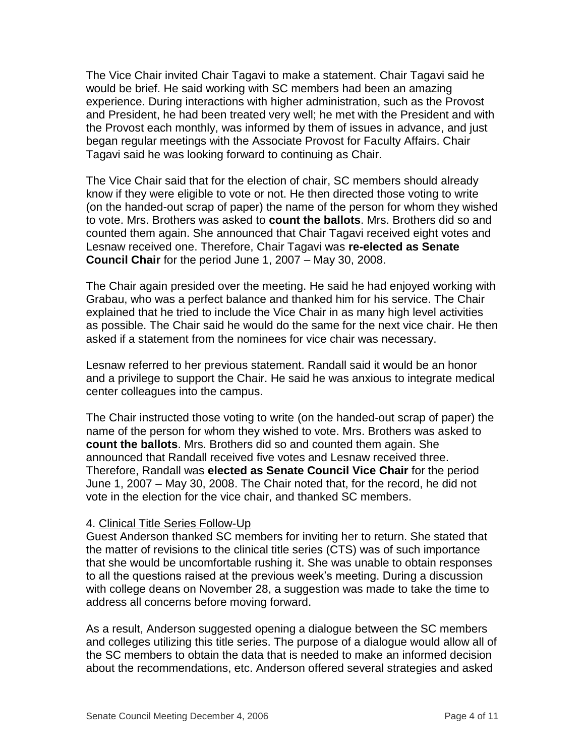The Vice Chair invited Chair Tagavi to make a statement. Chair Tagavi said he would be brief. He said working with SC members had been an amazing experience. During interactions with higher administration, such as the Provost and President, he had been treated very well; he met with the President and with the Provost each monthly, was informed by them of issues in advance, and just began regular meetings with the Associate Provost for Faculty Affairs. Chair Tagavi said he was looking forward to continuing as Chair.

The Vice Chair said that for the election of chair, SC members should already know if they were eligible to vote or not. He then directed those voting to write (on the handed-out scrap of paper) the name of the person for whom they wished to vote. Mrs. Brothers was asked to **count the ballots**. Mrs. Brothers did so and counted them again. She announced that Chair Tagavi received eight votes and Lesnaw received one. Therefore, Chair Tagavi was **re-elected as Senate Council Chair** for the period June 1, 2007 – May 30, 2008.

The Chair again presided over the meeting. He said he had enjoyed working with Grabau, who was a perfect balance and thanked him for his service. The Chair explained that he tried to include the Vice Chair in as many high level activities as possible. The Chair said he would do the same for the next vice chair. He then asked if a statement from the nominees for vice chair was necessary.

Lesnaw referred to her previous statement. Randall said it would be an honor and a privilege to support the Chair. He said he was anxious to integrate medical center colleagues into the campus.

The Chair instructed those voting to write (on the handed-out scrap of paper) the name of the person for whom they wished to vote. Mrs. Brothers was asked to **count the ballots**. Mrs. Brothers did so and counted them again. She announced that Randall received five votes and Lesnaw received three. Therefore, Randall was **elected as Senate Council Vice Chair** for the period June 1, 2007 – May 30, 2008. The Chair noted that, for the record, he did not vote in the election for the vice chair, and thanked SC members.

#### 4. Clinical Title Series Follow-Up

Guest Anderson thanked SC members for inviting her to return. She stated that the matter of revisions to the clinical title series (CTS) was of such importance that she would be uncomfortable rushing it. She was unable to obtain responses to all the questions raised at the previous week's meeting. During a discussion with college deans on November 28, a suggestion was made to take the time to address all concerns before moving forward.

As a result, Anderson suggested opening a dialogue between the SC members and colleges utilizing this title series. The purpose of a dialogue would allow all of the SC members to obtain the data that is needed to make an informed decision about the recommendations, etc. Anderson offered several strategies and asked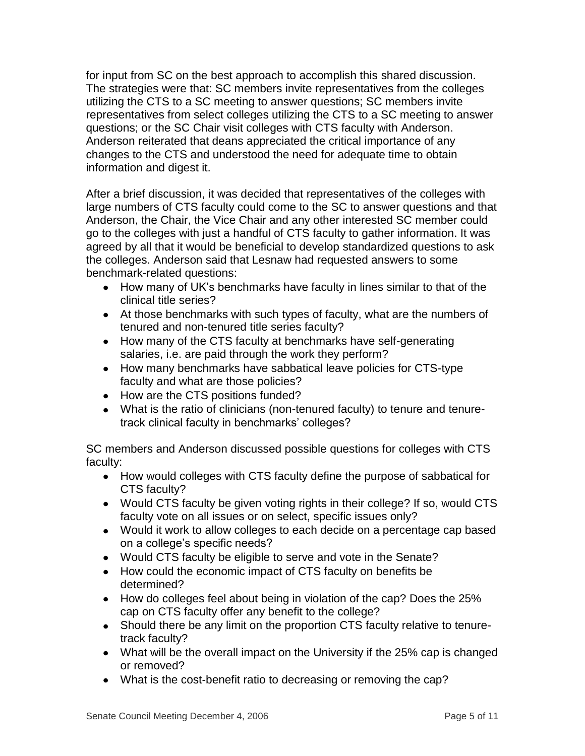for input from SC on the best approach to accomplish this shared discussion. The strategies were that: SC members invite representatives from the colleges utilizing the CTS to a SC meeting to answer questions; SC members invite representatives from select colleges utilizing the CTS to a SC meeting to answer questions; or the SC Chair visit colleges with CTS faculty with Anderson. Anderson reiterated that deans appreciated the critical importance of any changes to the CTS and understood the need for adequate time to obtain information and digest it.

After a brief discussion, it was decided that representatives of the colleges with large numbers of CTS faculty could come to the SC to answer questions and that Anderson, the Chair, the Vice Chair and any other interested SC member could go to the colleges with just a handful of CTS faculty to gather information. It was agreed by all that it would be beneficial to develop standardized questions to ask the colleges. Anderson said that Lesnaw had requested answers to some benchmark-related questions:

- How many of UK's benchmarks have faculty in lines similar to that of the clinical title series?
- At those benchmarks with such types of faculty, what are the numbers of tenured and non-tenured title series faculty?
- How many of the CTS faculty at benchmarks have self-generating salaries, i.e. are paid through the work they perform?
- How many benchmarks have sabbatical leave policies for CTS-type faculty and what are those policies?
- How are the CTS positions funded?
- What is the ratio of clinicians (non-tenured faculty) to tenure and tenuretrack clinical faculty in benchmarks' colleges?

SC members and Anderson discussed possible questions for colleges with CTS faculty:

- How would colleges with CTS faculty define the purpose of sabbatical for CTS faculty?
- Would CTS faculty be given voting rights in their college? If so, would CTS faculty vote on all issues or on select, specific issues only?
- Would it work to allow colleges to each decide on a percentage cap based on a college's specific needs?
- Would CTS faculty be eligible to serve and vote in the Senate?
- How could the economic impact of CTS faculty on benefits be determined?
- How do colleges feel about being in violation of the cap? Does the 25% cap on CTS faculty offer any benefit to the college?
- Should there be any limit on the proportion CTS faculty relative to tenuretrack faculty?
- What will be the overall impact on the University if the 25% cap is changed or removed?
- What is the cost-benefit ratio to decreasing or removing the cap?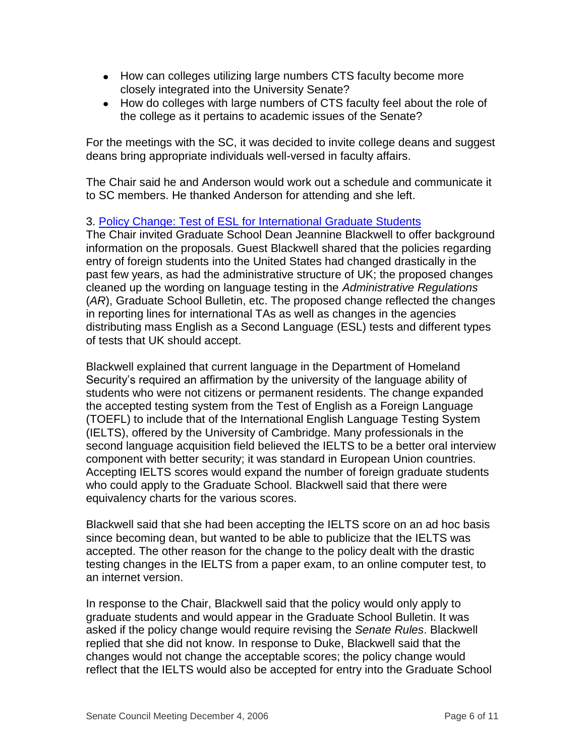- How can colleges utilizing large numbers CTS faculty become more closely integrated into the University Senate?
- How do colleges with large numbers of CTS faculty feel about the role of the college as it pertains to academic issues of the Senate?

For the meetings with the SC, it was decided to invite college deans and suggest deans bring appropriate individuals well-versed in faculty affairs.

The Chair said he and Anderson would work out a schedule and communicate it to SC members. He thanked Anderson for attending and she left.

# 3. [Policy Change: Test of ESL for International Graduate Students](http://www.uky.edu/USC/New/files/20061204/ESL%20Lang%20Req_Complete%2012-06.pdf)

The Chair invited Graduate School Dean Jeannine Blackwell to offer background information on the proposals. Guest Blackwell shared that the policies regarding entry of foreign students into the United States had changed drastically in the past few years, as had the administrative structure of UK; the proposed changes cleaned up the wording on language testing in the *Administrative Regulations* (*AR*), Graduate School Bulletin, etc. The proposed change reflected the changes in reporting lines for international TAs as well as changes in the agencies distributing mass English as a Second Language (ESL) tests and different types of tests that UK should accept.

Blackwell explained that current language in the Department of Homeland Security's required an affirmation by the university of the language ability of students who were not citizens or permanent residents. The change expanded the accepted testing system from the Test of English as a Foreign Language (TOEFL) to include that of the International English Language Testing System (IELTS), offered by the University of Cambridge. Many professionals in the second language acquisition field believed the IELTS to be a better oral interview component with better security; it was standard in European Union countries. Accepting IELTS scores would expand the number of foreign graduate students who could apply to the Graduate School. Blackwell said that there were equivalency charts for the various scores.

Blackwell said that she had been accepting the IELTS score on an ad hoc basis since becoming dean, but wanted to be able to publicize that the IELTS was accepted. The other reason for the change to the policy dealt with the drastic testing changes in the IELTS from a paper exam, to an online computer test, to an internet version.

In response to the Chair, Blackwell said that the policy would only apply to graduate students and would appear in the Graduate School Bulletin. It was asked if the policy change would require revising the *Senate Rules*. Blackwell replied that she did not know. In response to Duke, Blackwell said that the changes would not change the acceptable scores; the policy change would reflect that the IELTS would also be accepted for entry into the Graduate School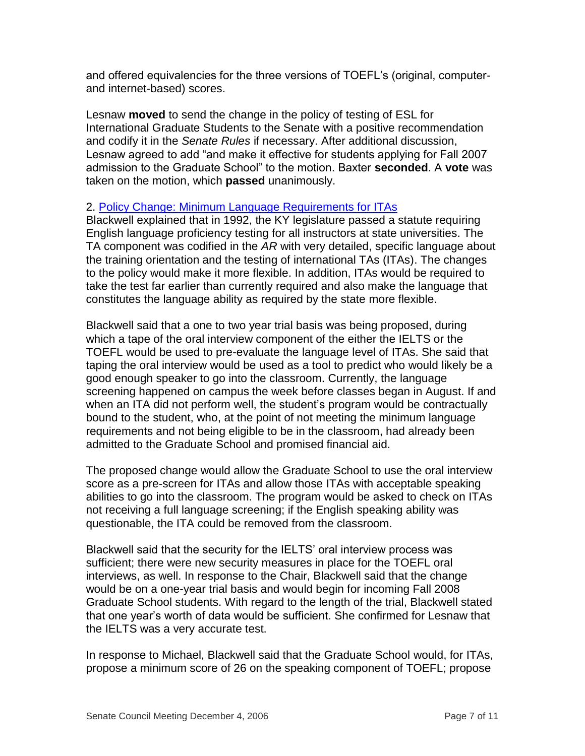and offered equivalencies for the three versions of TOEFL's (original, computerand internet-based) scores.

Lesnaw **moved** to send the change in the policy of testing of ESL for International Graduate Students to the Senate with a positive recommendation and codify it in the *Senate Rules* if necessary. After additional discussion, Lesnaw agreed to add "and make it effective for students applying for Fall 2007 admission to the Graduate School" to the motion. Baxter **seconded**. A **vote** was taken on the motion, which **passed** unanimously.

## 2. [Policy Change: Minimum Language Requirements for ITAs](http://www.uky.edu/USC/New/files/20061204/ITA%20lang%20screen_Complete%2012-06.pdf)

Blackwell explained that in 1992, the KY legislature passed a statute requiring English language proficiency testing for all instructors at state universities. The TA component was codified in the *AR* with very detailed, specific language about the training orientation and the testing of international TAs (ITAs). The changes to the policy would make it more flexible. In addition, ITAs would be required to take the test far earlier than currently required and also make the language that constitutes the language ability as required by the state more flexible.

Blackwell said that a one to two year trial basis was being proposed, during which a tape of the oral interview component of the either the IELTS or the TOEFL would be used to pre-evaluate the language level of ITAs. She said that taping the oral interview would be used as a tool to predict who would likely be a good enough speaker to go into the classroom. Currently, the language screening happened on campus the week before classes began in August. If and when an ITA did not perform well, the student's program would be contractually bound to the student, who, at the point of not meeting the minimum language requirements and not being eligible to be in the classroom, had already been admitted to the Graduate School and promised financial aid.

The proposed change would allow the Graduate School to use the oral interview score as a pre-screen for ITAs and allow those ITAs with acceptable speaking abilities to go into the classroom. The program would be asked to check on ITAs not receiving a full language screening; if the English speaking ability was questionable, the ITA could be removed from the classroom.

Blackwell said that the security for the IELTS' oral interview process was sufficient; there were new security measures in place for the TOEFL oral interviews, as well. In response to the Chair, Blackwell said that the change would be on a one-year trial basis and would begin for incoming Fall 2008 Graduate School students. With regard to the length of the trial, Blackwell stated that one year's worth of data would be sufficient. She confirmed for Lesnaw that the IELTS was a very accurate test.

In response to Michael, Blackwell said that the Graduate School would, for ITAs, propose a minimum score of 26 on the speaking component of TOEFL; propose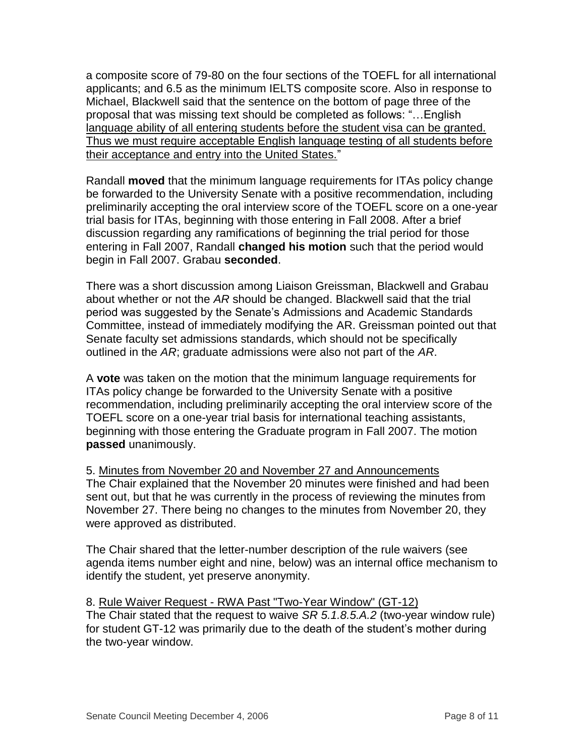a composite score of 79-80 on the four sections of the TOEFL for all international applicants; and 6.5 as the minimum IELTS composite score. Also in response to Michael, Blackwell said that the sentence on the bottom of page three of the proposal that was missing text should be completed as follows: "…English language ability of all entering students before the student visa can be granted. Thus we must require acceptable English language testing of all students before their acceptance and entry into the United States."

Randall **moved** that the minimum language requirements for ITAs policy change be forwarded to the University Senate with a positive recommendation, including preliminarily accepting the oral interview score of the TOEFL score on a one-year trial basis for ITAs, beginning with those entering in Fall 2008. After a brief discussion regarding any ramifications of beginning the trial period for those entering in Fall 2007, Randall **changed his motion** such that the period would begin in Fall 2007. Grabau **seconded**.

There was a short discussion among Liaison Greissman, Blackwell and Grabau about whether or not the *AR* should be changed. Blackwell said that the trial period was suggested by the Senate's Admissions and Academic Standards Committee, instead of immediately modifying the AR. Greissman pointed out that Senate faculty set admissions standards, which should not be specifically outlined in the *AR*; graduate admissions were also not part of the *AR*.

A **vote** was taken on the motion that the minimum language requirements for ITAs policy change be forwarded to the University Senate with a positive recommendation, including preliminarily accepting the oral interview score of the TOEFL score on a one-year trial basis for international teaching assistants, beginning with those entering the Graduate program in Fall 2007. The motion **passed** unanimously.

5. Minutes from November 20 and November 27 and Announcements The Chair explained that the November 20 minutes were finished and had been sent out, but that he was currently in the process of reviewing the minutes from November 27. There being no changes to the minutes from November 20, they were approved as distributed.

The Chair shared that the letter-number description of the rule waivers (see agenda items number eight and nine, below) was an internal office mechanism to identify the student, yet preserve anonymity.

8. Rule Waiver Request - RWA Past "Two-Year Window" (GT-12) The Chair stated that the request to waive *SR 5.1.8.5.A.2* (two-year window rule) for student GT-12 was primarily due to the death of the student's mother during the two-year window.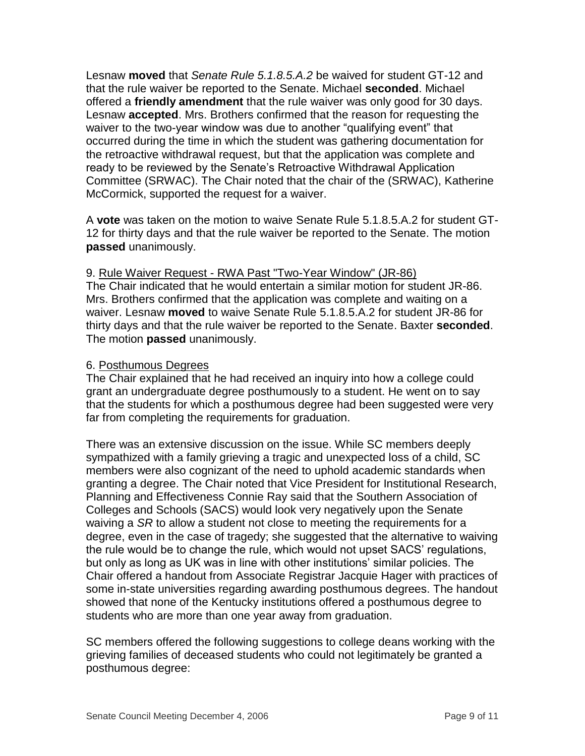Lesnaw **moved** that *Senate Rule 5.1.8.5.A.2* be waived for student GT-12 and that the rule waiver be reported to the Senate. Michael **seconded**. Michael offered a **friendly amendment** that the rule waiver was only good for 30 days. Lesnaw **accepted**. Mrs. Brothers confirmed that the reason for requesting the waiver to the two-year window was due to another "qualifying event" that occurred during the time in which the student was gathering documentation for the retroactive withdrawal request, but that the application was complete and ready to be reviewed by the Senate's Retroactive Withdrawal Application Committee (SRWAC). The Chair noted that the chair of the (SRWAC), Katherine McCormick, supported the request for a waiver.

A **vote** was taken on the motion to waive Senate Rule 5.1.8.5.A.2 for student GT-12 for thirty days and that the rule waiver be reported to the Senate. The motion **passed** unanimously.

# 9. Rule Waiver Request - RWA Past "Two-Year Window" (JR-86)

The Chair indicated that he would entertain a similar motion for student JR-86. Mrs. Brothers confirmed that the application was complete and waiting on a waiver. Lesnaw **moved** to waive Senate Rule 5.1.8.5.A.2 for student JR-86 for thirty days and that the rule waiver be reported to the Senate. Baxter **seconded**. The motion **passed** unanimously.

## 6. Posthumous Degrees

The Chair explained that he had received an inquiry into how a college could grant an undergraduate degree posthumously to a student. He went on to say that the students for which a posthumous degree had been suggested were very far from completing the requirements for graduation.

There was an extensive discussion on the issue. While SC members deeply sympathized with a family grieving a tragic and unexpected loss of a child, SC members were also cognizant of the need to uphold academic standards when granting a degree. The Chair noted that Vice President for Institutional Research, Planning and Effectiveness Connie Ray said that the Southern Association of Colleges and Schools (SACS) would look very negatively upon the Senate waiving a *SR* to allow a student not close to meeting the requirements for a degree, even in the case of tragedy; she suggested that the alternative to waiving the rule would be to change the rule, which would not upset SACS' regulations, but only as long as UK was in line with other institutions' similar policies. The Chair offered a handout from Associate Registrar Jacquie Hager with practices of some in-state universities regarding awarding posthumous degrees. The handout showed that none of the Kentucky institutions offered a posthumous degree to students who are more than one year away from graduation.

SC members offered the following suggestions to college deans working with the grieving families of deceased students who could not legitimately be granted a posthumous degree: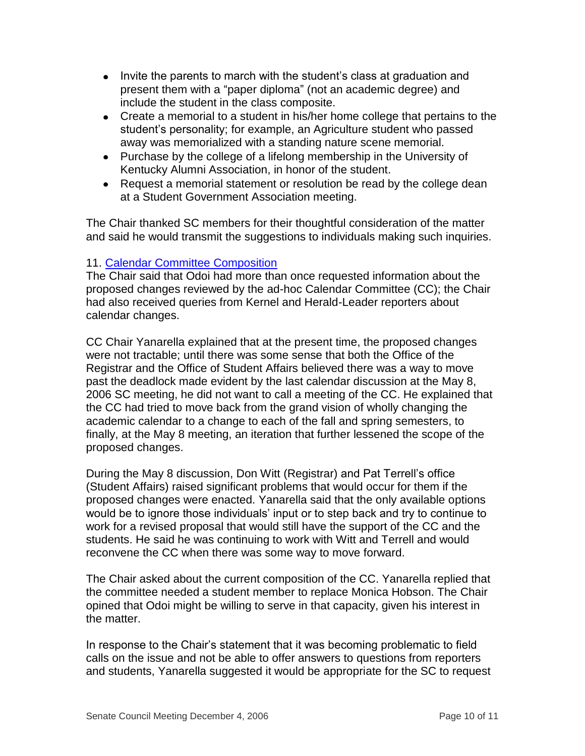- Invite the parents to march with the student's class at graduation and present them with a "paper diploma" (not an academic degree) and include the student in the class composite.
- Create a memorial to a student in his/her home college that pertains to the student's personality; for example, an Agriculture student who passed away was memorialized with a standing nature scene memorial.
- Purchase by the college of a lifelong membership in the University of Kentucky Alumni Association, in honor of the student.
- Request a memorial statement or resolution be read by the college dean at a Student Government Association meeting.

The Chair thanked SC members for their thoughtful consideration of the matter and said he would transmit the suggestions to individuals making such inquiries.

# 11. [Calendar Committee Composition](http://www.uky.edu/USC/New/files/20061204/Cal%20Cmte%20Comp.pdf)

The Chair said that Odoi had more than once requested information about the proposed changes reviewed by the ad-hoc Calendar Committee (CC); the Chair had also received queries from Kernel and Herald-Leader reporters about calendar changes.

CC Chair Yanarella explained that at the present time, the proposed changes were not tractable; until there was some sense that both the Office of the Registrar and the Office of Student Affairs believed there was a way to move past the deadlock made evident by the last calendar discussion at the May 8, 2006 SC meeting, he did not want to call a meeting of the CC. He explained that the CC had tried to move back from the grand vision of wholly changing the academic calendar to a change to each of the fall and spring semesters, to finally, at the May 8 meeting, an iteration that further lessened the scope of the proposed changes.

During the May 8 discussion, Don Witt (Registrar) and Pat Terrell's office (Student Affairs) raised significant problems that would occur for them if the proposed changes were enacted. Yanarella said that the only available options would be to ignore those individuals' input or to step back and try to continue to work for a revised proposal that would still have the support of the CC and the students. He said he was continuing to work with Witt and Terrell and would reconvene the CC when there was some way to move forward.

The Chair asked about the current composition of the CC. Yanarella replied that the committee needed a student member to replace Monica Hobson. The Chair opined that Odoi might be willing to serve in that capacity, given his interest in the matter.

In response to the Chair's statement that it was becoming problematic to field calls on the issue and not be able to offer answers to questions from reporters and students, Yanarella suggested it would be appropriate for the SC to request